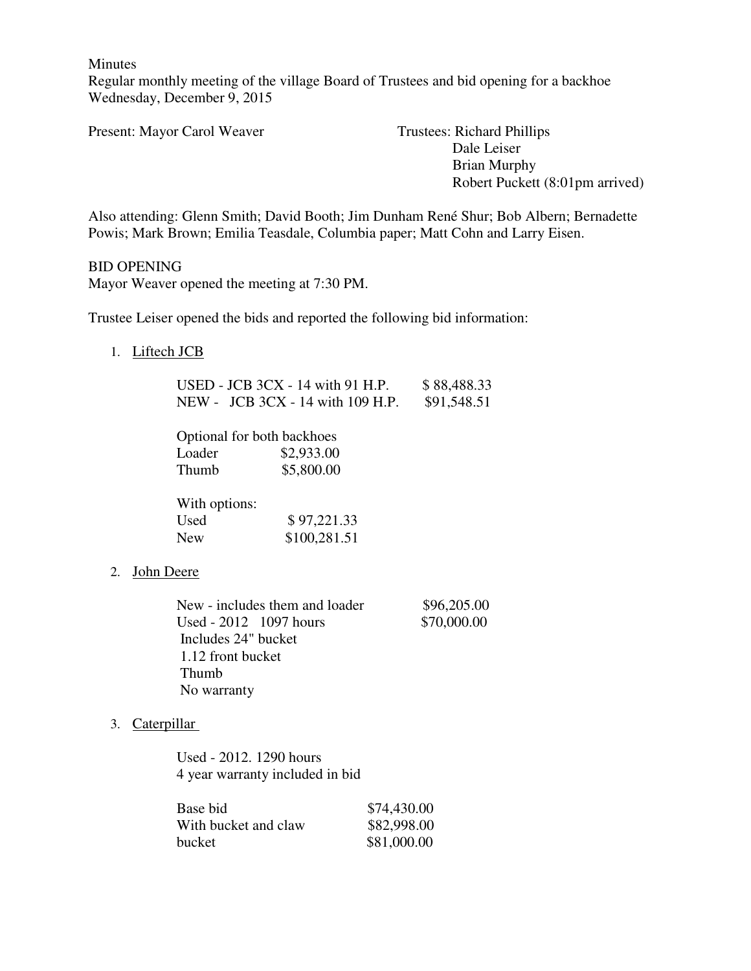Minutes

Regular monthly meeting of the village Board of Trustees and bid opening for a backhoe Wednesday, December 9, 2015

Present: Mayor Carol Weaver Trustees: Richard Phillips

 Dale Leiser Brian Murphy Robert Puckett (8:01pm arrived)

Also attending: Glenn Smith; David Booth; Jim Dunham René Shur; Bob Albern; Bernadette Powis; Mark Brown; Emilia Teasdale, Columbia paper; Matt Cohn and Larry Eisen.

BID OPENING Mayor Weaver opened the meeting at 7:30 PM.

Trustee Leiser opened the bids and reported the following bid information:

1. Liftech JCB

|        | USED - JCB $3CX - 14$ with 91 H.P. | \$88,488.33 |
|--------|------------------------------------|-------------|
|        | NEW - JCB 3CX - 14 with 109 H.P.   | \$91,548.51 |
|        |                                    |             |
|        | Optional for both backhoes         |             |
| Loader | \$2,933.00                         |             |
| Thumb  | \$5,800.00                         |             |

| With options: |              |
|---------------|--------------|
| Used          | \$97,221.33  |
| New           | \$100,281.51 |

# 2. John Deere

| New - includes them and loader | \$96,205.00 |
|--------------------------------|-------------|
| Used - 2012 1097 hours         | \$70,000.00 |
| Includes 24" bucket            |             |
| 1.12 front bucket              |             |
| <b>Thumb</b>                   |             |
| No warranty                    |             |

# 3. Caterpillar

Used - 2012. 1290 hours 4 year warranty included in bid

| Base bid             | \$74,430.00 |
|----------------------|-------------|
| With bucket and claw | \$82,998.00 |
| bucket               | \$81,000.00 |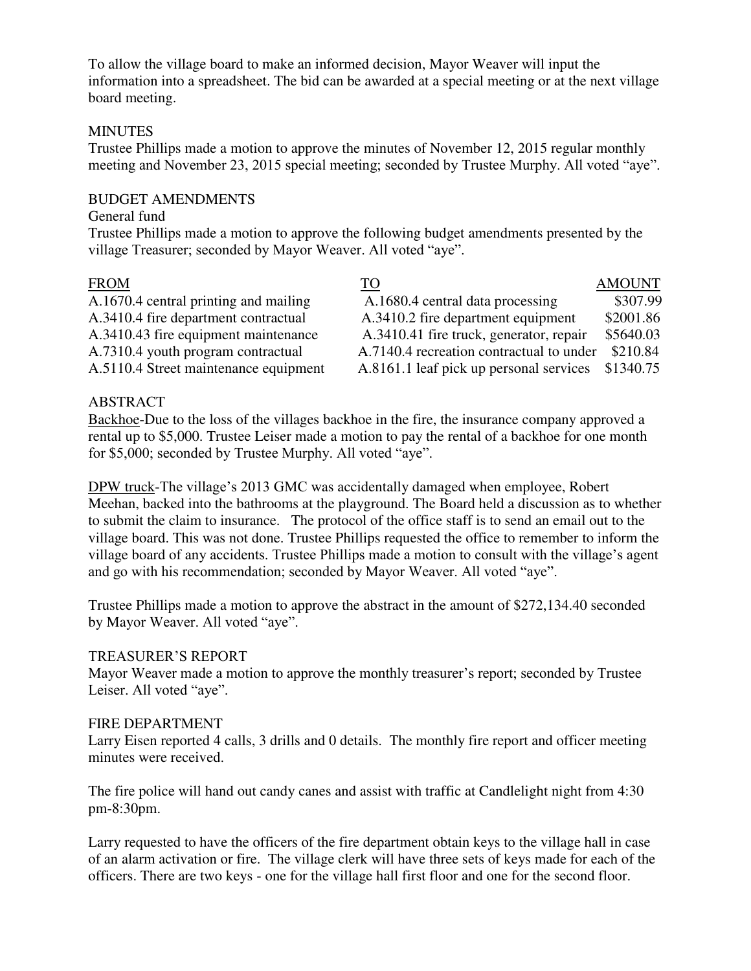To allow the village board to make an informed decision, Mayor Weaver will input the information into a spreadsheet. The bid can be awarded at a special meeting or at the next village board meeting.

# **MINUTES**

Trustee Phillips made a motion to approve the minutes of November 12, 2015 regular monthly meeting and November 23, 2015 special meeting; seconded by Trustee Murphy. All voted "aye".

# BUDGET AMENDMENTS

# General fund

Trustee Phillips made a motion to approve the following budget amendments presented by the village Treasurer; seconded by Mayor Weaver. All voted "aye".

| <b>FROM</b>                           | TO                                       | <b>AMOUNT</b> |
|---------------------------------------|------------------------------------------|---------------|
| A.1670.4 central printing and mailing | A.1680.4 central data processing         | \$307.99      |
| A.3410.4 fire department contractual  | A.3410.2 fire department equipment       | \$2001.86     |
| A.3410.43 fire equipment maintenance  | A.3410.41 fire truck, generator, repair  | \$5640.03     |
| A.7310.4 youth program contractual    | A.7140.4 recreation contractual to under | \$210.84      |
| A.5110.4 Street maintenance equipment | A.8161.1 leaf pick up personal services  | \$1340.75     |

# ABSTRACT

Backhoe-Due to the loss of the villages backhoe in the fire, the insurance company approved a rental up to \$5,000. Trustee Leiser made a motion to pay the rental of a backhoe for one month for \$5,000; seconded by Trustee Murphy. All voted "aye".

DPW truck-The village's 2013 GMC was accidentally damaged when employee, Robert Meehan, backed into the bathrooms at the playground. The Board held a discussion as to whether to submit the claim to insurance. The protocol of the office staff is to send an email out to the village board. This was not done. Trustee Phillips requested the office to remember to inform the village board of any accidents. Trustee Phillips made a motion to consult with the village's agent and go with his recommendation; seconded by Mayor Weaver. All voted "aye".

Trustee Phillips made a motion to approve the abstract in the amount of \$272,134.40 seconded by Mayor Weaver. All voted "aye".

# TREASURER'S REPORT

Mayor Weaver made a motion to approve the monthly treasurer's report; seconded by Trustee Leiser. All voted "aye".

# FIRE DEPARTMENT

Larry Eisen reported 4 calls, 3 drills and 0 details. The monthly fire report and officer meeting minutes were received.

The fire police will hand out candy canes and assist with traffic at Candlelight night from 4:30 pm-8:30pm.

Larry requested to have the officers of the fire department obtain keys to the village hall in case of an alarm activation or fire. The village clerk will have three sets of keys made for each of the officers. There are two keys - one for the village hall first floor and one for the second floor.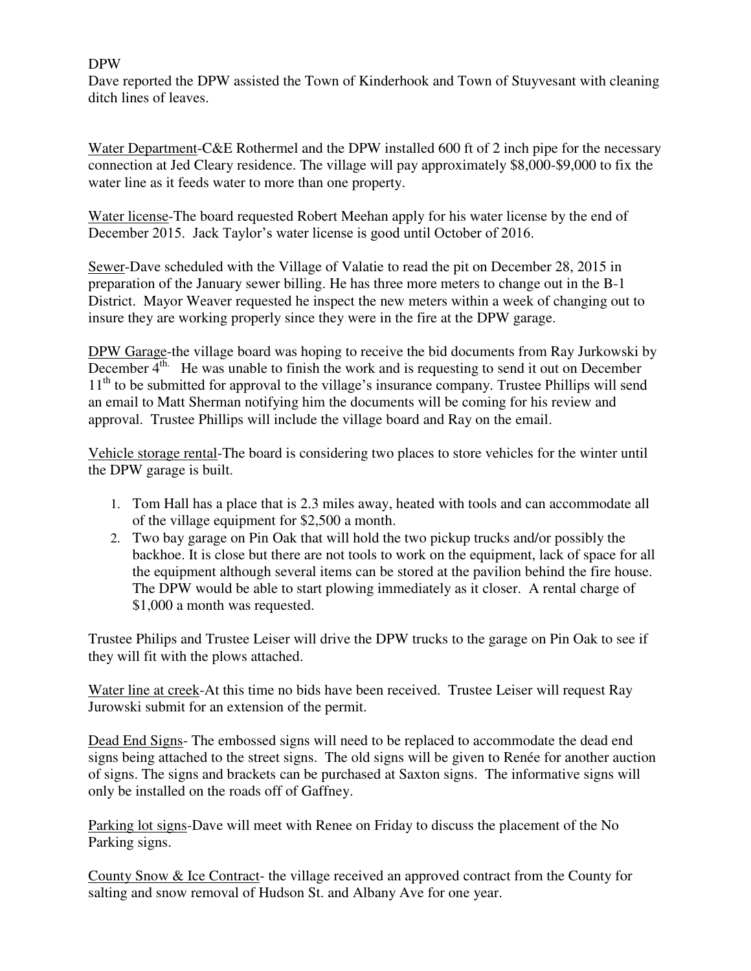# DPW

Dave reported the DPW assisted the Town of Kinderhook and Town of Stuyvesant with cleaning ditch lines of leaves.

Water Department-C&E Rothermel and the DPW installed 600 ft of 2 inch pipe for the necessary connection at Jed Cleary residence. The village will pay approximately \$8,000-\$9,000 to fix the water line as it feeds water to more than one property.

Water license-The board requested Robert Meehan apply for his water license by the end of December 2015. Jack Taylor's water license is good until October of 2016.

Sewer-Dave scheduled with the Village of Valatie to read the pit on December 28, 2015 in preparation of the January sewer billing. He has three more meters to change out in the B-1 District. Mayor Weaver requested he inspect the new meters within a week of changing out to insure they are working properly since they were in the fire at the DPW garage.

DPW Garage-the village board was hoping to receive the bid documents from Ray Jurkowski by December  $4<sup>th</sup>$ . He was unable to finish the work and is requesting to send it out on December 11<sup>th</sup> to be submitted for approval to the village's insurance company. Trustee Phillips will send an email to Matt Sherman notifying him the documents will be coming for his review and approval. Trustee Phillips will include the village board and Ray on the email.

Vehicle storage rental-The board is considering two places to store vehicles for the winter until the DPW garage is built.

- 1. Tom Hall has a place that is 2.3 miles away, heated with tools and can accommodate all of the village equipment for \$2,500 a month.
- 2. Two bay garage on Pin Oak that will hold the two pickup trucks and/or possibly the backhoe. It is close but there are not tools to work on the equipment, lack of space for all the equipment although several items can be stored at the pavilion behind the fire house. The DPW would be able to start plowing immediately as it closer. A rental charge of \$1,000 a month was requested.

Trustee Philips and Trustee Leiser will drive the DPW trucks to the garage on Pin Oak to see if they will fit with the plows attached.

Water line at creek-At this time no bids have been received. Trustee Leiser will request Ray Jurowski submit for an extension of the permit.

Dead End Signs- The embossed signs will need to be replaced to accommodate the dead end signs being attached to the street signs. The old signs will be given to Renée for another auction of signs. The signs and brackets can be purchased at Saxton signs. The informative signs will only be installed on the roads off of Gaffney.

Parking lot signs-Dave will meet with Renee on Friday to discuss the placement of the No Parking signs.

County Snow & Ice Contract- the village received an approved contract from the County for salting and snow removal of Hudson St. and Albany Ave for one year.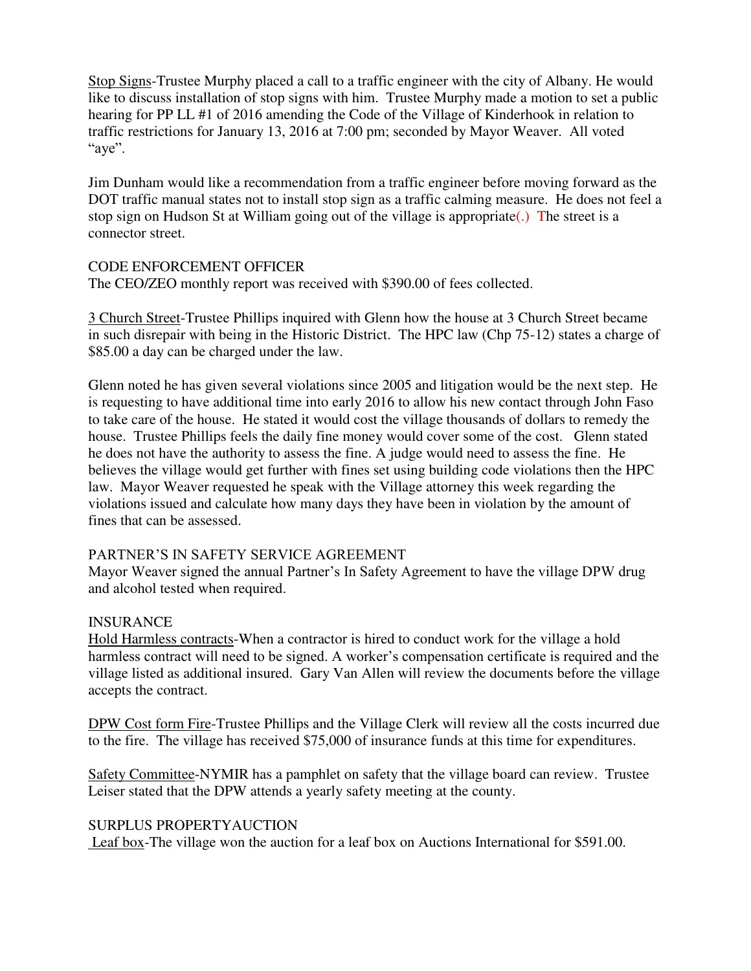Stop Signs-Trustee Murphy placed a call to a traffic engineer with the city of Albany. He would like to discuss installation of stop signs with him. Trustee Murphy made a motion to set a public hearing for PP LL #1 of 2016 amending the Code of the Village of Kinderhook in relation to traffic restrictions for January 13, 2016 at 7:00 pm; seconded by Mayor Weaver. All voted "aye".

Jim Dunham would like a recommendation from a traffic engineer before moving forward as the DOT traffic manual states not to install stop sign as a traffic calming measure. He does not feel a stop sign on Hudson St at William going out of the village is appropriate(.) The street is a connector street.

#### CODE ENFORCEMENT OFFICER

The CEO/ZEO monthly report was received with \$390.00 of fees collected.

3 Church Street-Trustee Phillips inquired with Glenn how the house at 3 Church Street became in such disrepair with being in the Historic District. The HPC law (Chp 75-12) states a charge of \$85.00 a day can be charged under the law.

Glenn noted he has given several violations since 2005 and litigation would be the next step. He is requesting to have additional time into early 2016 to allow his new contact through John Faso to take care of the house. He stated it would cost the village thousands of dollars to remedy the house. Trustee Phillips feels the daily fine money would cover some of the cost. Glenn stated he does not have the authority to assess the fine. A judge would need to assess the fine. He believes the village would get further with fines set using building code violations then the HPC law. Mayor Weaver requested he speak with the Village attorney this week regarding the violations issued and calculate how many days they have been in violation by the amount of fines that can be assessed.

# PARTNER'S IN SAFETY SERVICE AGREEMENT

Mayor Weaver signed the annual Partner's In Safety Agreement to have the village DPW drug and alcohol tested when required.

# INSURANCE

Hold Harmless contracts-When a contractor is hired to conduct work for the village a hold harmless contract will need to be signed. A worker's compensation certificate is required and the village listed as additional insured. Gary Van Allen will review the documents before the village accepts the contract.

DPW Cost form Fire-Trustee Phillips and the Village Clerk will review all the costs incurred due to the fire. The village has received \$75,000 of insurance funds at this time for expenditures.

Safety Committee-NYMIR has a pamphlet on safety that the village board can review. Trustee Leiser stated that the DPW attends a yearly safety meeting at the county.

#### SURPLUS PROPERTYAUCTION

Leaf box-The village won the auction for a leaf box on Auctions International for \$591.00.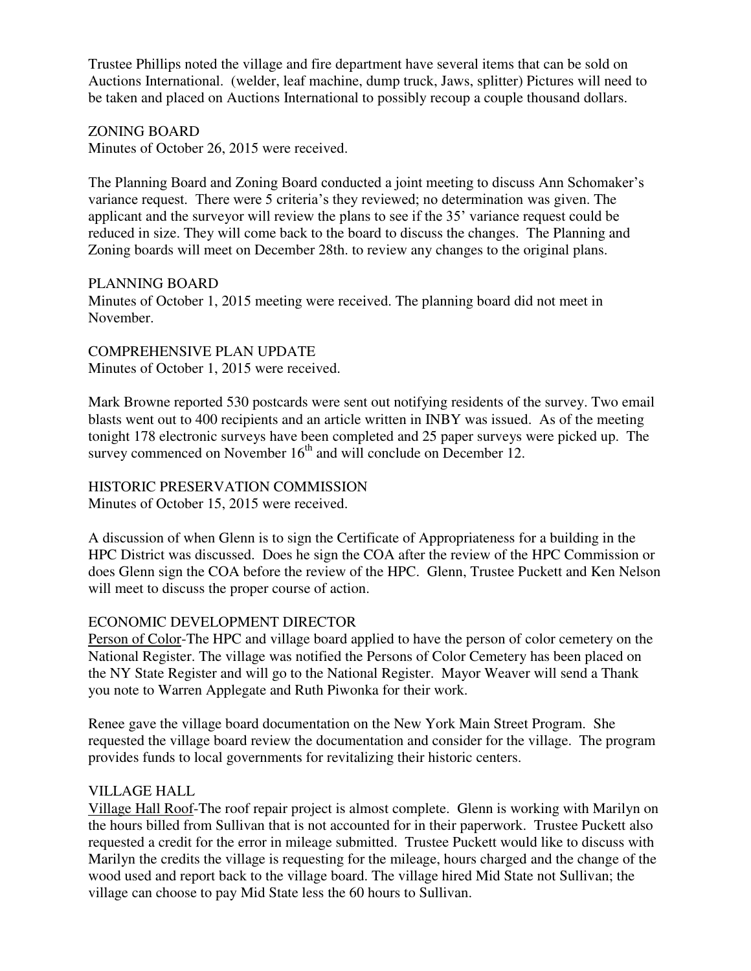Trustee Phillips noted the village and fire department have several items that can be sold on Auctions International. (welder, leaf machine, dump truck, Jaws, splitter) Pictures will need to be taken and placed on Auctions International to possibly recoup a couple thousand dollars.

# ZONING BOARD

Minutes of October 26, 2015 were received.

The Planning Board and Zoning Board conducted a joint meeting to discuss Ann Schomaker's variance request. There were 5 criteria's they reviewed; no determination was given. The applicant and the surveyor will review the plans to see if the 35' variance request could be reduced in size. They will come back to the board to discuss the changes. The Planning and Zoning boards will meet on December 28th. to review any changes to the original plans.

# PLANNING BOARD

Minutes of October 1, 2015 meeting were received. The planning board did not meet in November.

COMPREHENSIVE PLAN UPDATE Minutes of October 1, 2015 were received.

Mark Browne reported 530 postcards were sent out notifying residents of the survey. Two email blasts went out to 400 recipients and an article written in INBY was issued. As of the meeting tonight 178 electronic surveys have been completed and 25 paper surveys were picked up. The survey commenced on November  $16<sup>th</sup>$  and will conclude on December 12.

#### HISTORIC PRESERVATION COMMISSION Minutes of October 15, 2015 were received.

A discussion of when Glenn is to sign the Certificate of Appropriateness for a building in the HPC District was discussed. Does he sign the COA after the review of the HPC Commission or does Glenn sign the COA before the review of the HPC. Glenn, Trustee Puckett and Ken Nelson will meet to discuss the proper course of action.

# ECONOMIC DEVELOPMENT DIRECTOR

Person of Color-The HPC and village board applied to have the person of color cemetery on the National Register. The village was notified the Persons of Color Cemetery has been placed on the NY State Register and will go to the National Register. Mayor Weaver will send a Thank you note to Warren Applegate and Ruth Piwonka for their work.

Renee gave the village board documentation on the New York Main Street Program. She requested the village board review the documentation and consider for the village. The program provides funds to local governments for revitalizing their historic centers.

# VILLAGE HALL

Village Hall Roof-The roof repair project is almost complete. Glenn is working with Marilyn on the hours billed from Sullivan that is not accounted for in their paperwork. Trustee Puckett also requested a credit for the error in mileage submitted. Trustee Puckett would like to discuss with Marilyn the credits the village is requesting for the mileage, hours charged and the change of the wood used and report back to the village board. The village hired Mid State not Sullivan; the village can choose to pay Mid State less the 60 hours to Sullivan.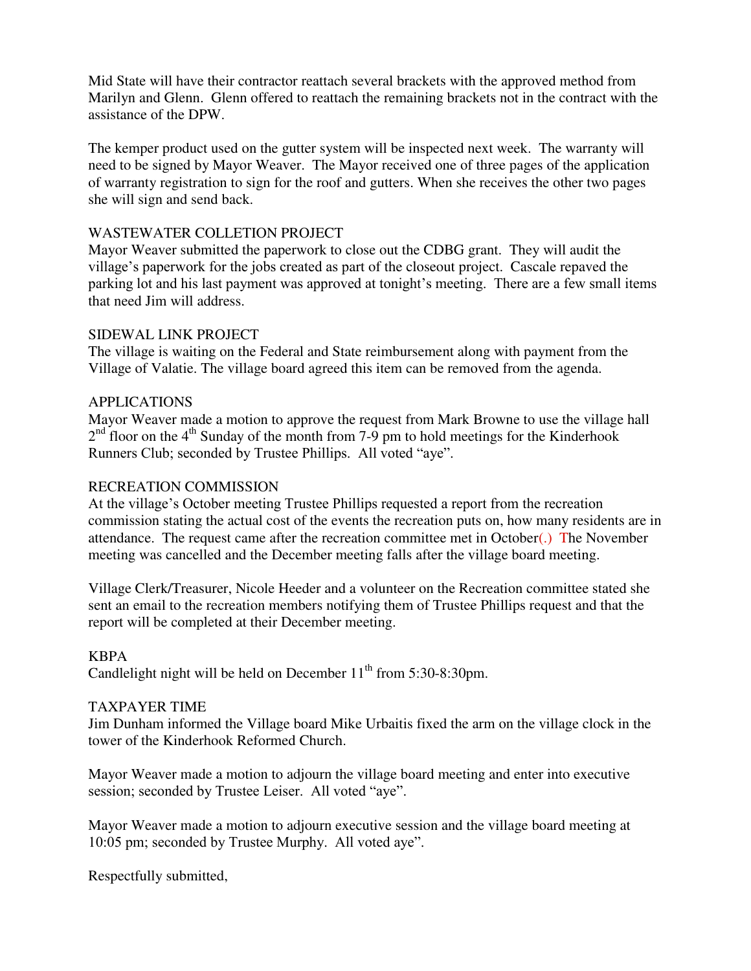Mid State will have their contractor reattach several brackets with the approved method from Marilyn and Glenn. Glenn offered to reattach the remaining brackets not in the contract with the assistance of the DPW.

The kemper product used on the gutter system will be inspected next week. The warranty will need to be signed by Mayor Weaver. The Mayor received one of three pages of the application of warranty registration to sign for the roof and gutters. When she receives the other two pages she will sign and send back.

# WASTEWATER COLLETION PROJECT

Mayor Weaver submitted the paperwork to close out the CDBG grant. They will audit the village's paperwork for the jobs created as part of the closeout project. Cascale repaved the parking lot and his last payment was approved at tonight's meeting. There are a few small items that need Jim will address.

# SIDEWAL LINK PROJECT

The village is waiting on the Federal and State reimbursement along with payment from the Village of Valatie. The village board agreed this item can be removed from the agenda.

# APPLICATIONS

Mayor Weaver made a motion to approve the request from Mark Browne to use the village hall  $2<sup>nd</sup>$  floor on the 4<sup>th</sup> Sunday of the month from 7-9 pm to hold meetings for the Kinderhook Runners Club; seconded by Trustee Phillips. All voted "aye".

# RECREATION COMMISSION

At the village's October meeting Trustee Phillips requested a report from the recreation commission stating the actual cost of the events the recreation puts on, how many residents are in attendance. The request came after the recreation committee met in October(.) The November meeting was cancelled and the December meeting falls after the village board meeting.

Village Clerk/Treasurer, Nicole Heeder and a volunteer on the Recreation committee stated she sent an email to the recreation members notifying them of Trustee Phillips request and that the report will be completed at their December meeting.

# KBPA

Candlelight night will be held on December  $11<sup>th</sup>$  from 5:30-8:30pm.

# TAXPAYER TIME

Jim Dunham informed the Village board Mike Urbaitis fixed the arm on the village clock in the tower of the Kinderhook Reformed Church.

Mayor Weaver made a motion to adjourn the village board meeting and enter into executive session; seconded by Trustee Leiser. All voted "aye".

Mayor Weaver made a motion to adjourn executive session and the village board meeting at 10:05 pm; seconded by Trustee Murphy. All voted aye".

Respectfully submitted,